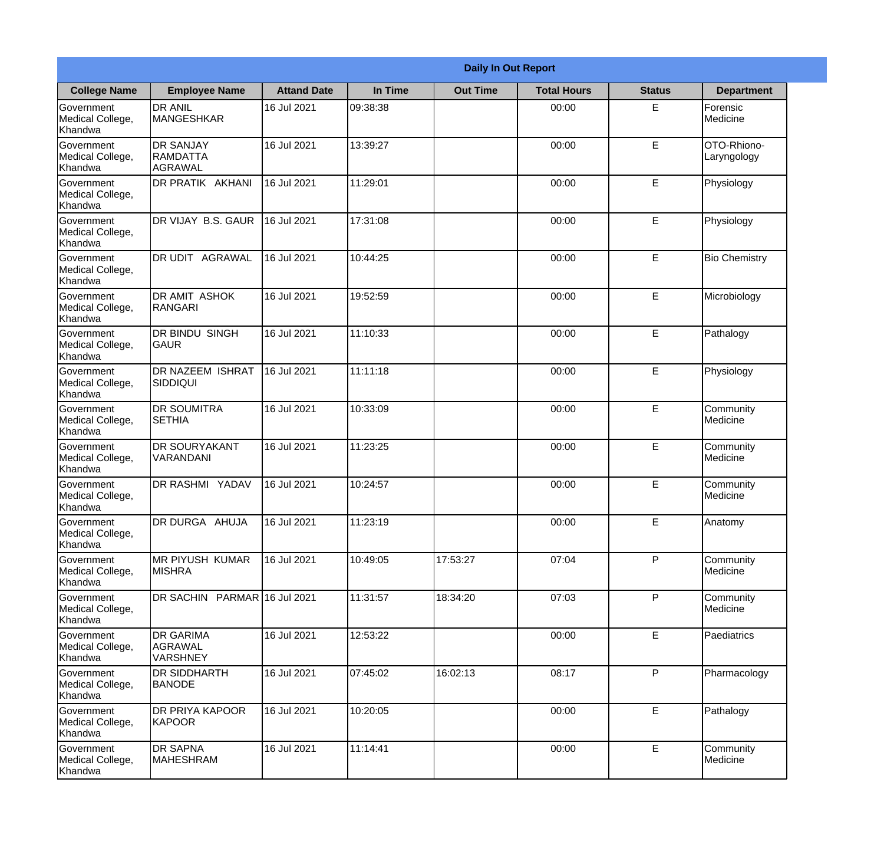|                                                  | <b>Daily In Out Report</b>                     |                    |          |                 |                    |               |                            |  |  |
|--------------------------------------------------|------------------------------------------------|--------------------|----------|-----------------|--------------------|---------------|----------------------------|--|--|
| <b>College Name</b>                              | <b>Employee Name</b>                           | <b>Attand Date</b> | In Time  | <b>Out Time</b> | <b>Total Hours</b> | <b>Status</b> | <b>Department</b>          |  |  |
| Government<br>Medical College,<br>Khandwa        | <b>DR ANIL</b><br><b>MANGESHKAR</b>            | 16 Jul 2021        | 09:38:38 |                 | 00:00              | E             | Forensic<br>Medicine       |  |  |
| Government<br>Medical College,<br>Khandwa        | <b>DR SANJAY</b><br><b>RAMDATTA</b><br>AGRAWAL | 16 Jul 2021        | 13:39:27 |                 | 00:00              | E             | OTO-Rhiono-<br>Laryngology |  |  |
| Government<br>Medical College,<br>Khandwa        | <b>DR PRATIK AKHANI</b>                        | 16 Jul 2021        | 11:29:01 |                 | 00:00              | E             | Physiology                 |  |  |
| Government<br>Medical College,<br>Khandwa        | DR VIJAY B.S. GAUR                             | 16 Jul 2021        | 17:31:08 |                 | 00:00              | E             | Physiology                 |  |  |
| <b>Government</b><br>Medical College,<br>Khandwa | <b>DR UDIT AGRAWAL</b>                         | 16 Jul 2021        | 10:44:25 |                 | 00:00              | E             | <b>Bio Chemistry</b>       |  |  |
| Government<br>Medical College,<br>Khandwa        | <b>DR AMIT ASHOK</b><br>RANGARI                | 16 Jul 2021        | 19:52:59 |                 | 00:00              | E             | Microbiology               |  |  |
| Government<br>Medical College,<br>Khandwa        | <b>DR BINDU SINGH</b><br><b>GAUR</b>           | 16 Jul 2021        | 11:10:33 |                 | 00:00              | E             | Pathalogy                  |  |  |
| Government<br>Medical College,<br>Khandwa        | <b>DR NAZEEM ISHRAT</b><br> SIDDIQUI           | 16 Jul 2021        | 11:11:18 |                 | 00:00              | E             | Physiology                 |  |  |
| Government<br>Medical College,<br>Khandwa        | <b>DR SOUMITRA</b><br><b>SETHIA</b>            | 16 Jul 2021        | 10:33:09 |                 | 00:00              | E             | Community<br>Medicine      |  |  |
| Government<br>Medical College,<br>Khandwa        | <b>DR SOURYAKANT</b><br>VARANDANI              | 16 Jul 2021        | 11:23:25 |                 | 00:00              | E             | Community<br>Medicine      |  |  |
| Government<br>Medical College,<br>Khandwa        | <b>DR RASHMI YADAV</b>                         | 16 Jul 2021        | 10:24:57 |                 | 00:00              | E             | Community<br>Medicine      |  |  |
| Government<br>Medical College,<br>Khandwa        | DR DURGA AHUJA                                 | 16 Jul 2021        | 11:23:19 |                 | 00:00              | E             | Anatomy                    |  |  |
| Government<br>Medical College,<br>Khandwa        | MR PIYUSH KUMAR<br><b>MISHRA</b>               | 16 Jul 2021        | 10:49:05 | 17:53:27        | 07:04              | P             | Community<br>Medicine      |  |  |
| Government<br>Medical College,<br>Khandwa        | DR SACHIN PARMAR 16 Jul 2021                   |                    | 11:31:57 | 18:34:20        | 07:03              | P             | Community<br>Medicine      |  |  |
| Government<br>Medical College,<br>Khandwa        | <b>DR GARIMA</b><br>AGRAWAL<br><b>VARSHNEY</b> | 16 Jul 2021        | 12:53:22 |                 | 00:00              | $\mathsf E$   | Paediatrics                |  |  |
| Government<br>Medical College,<br>Khandwa        | <b>DR SIDDHARTH</b><br><b>BANODE</b>           | 16 Jul 2021        | 07:45:02 | 16:02:13        | 08:17              | P             | Pharmacology               |  |  |
| Government<br>Medical College,<br>Khandwa        | <b>DR PRIYA KAPOOR</b><br>KAPOOR               | 16 Jul 2021        | 10:20:05 |                 | 00:00              | E             | Pathalogy                  |  |  |
| Government<br>Medical College,<br>Khandwa        | <b>DR SAPNA</b><br><b>MAHESHRAM</b>            | 16 Jul 2021        | 11:14:41 |                 | 00:00              | $\mathsf E$   | Community<br>Medicine      |  |  |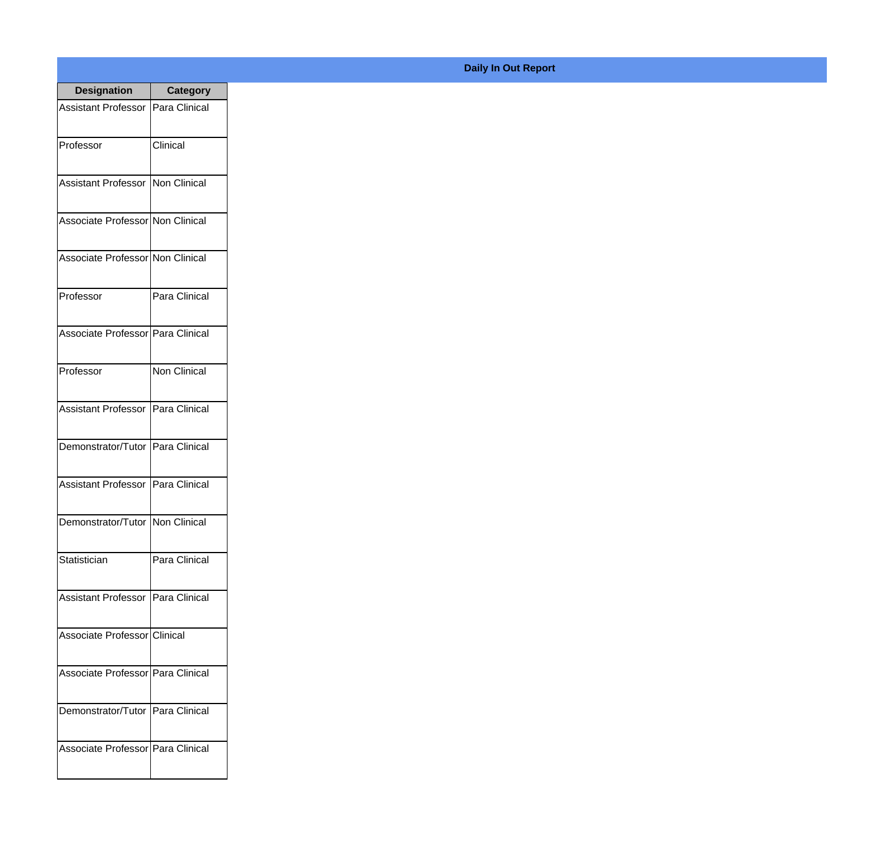| <b>Designation</b>                  | <b>Category</b>     |
|-------------------------------------|---------------------|
| Assistant Professor   Para Clinical |                     |
| Professor                           | Clinical            |
| Assistant Professor   Non Clinical  |                     |
| Associate Professor Non Clinical    |                     |
| Associate Professor Non Clinical    |                     |
| Professor                           | Para Clinical       |
| Associate Professor Para Clinical   |                     |
| Professor                           | <b>Non Clinical</b> |
| Assistant Professor   Para Clinical |                     |
| Demonstrator/Tutor   Para Clinical  |                     |
| <b>Assistant Professor</b>          | Para Clinical       |
| Demonstrator/Tutor   Non Clinical   |                     |
| Statistician                        | Para Clinical       |
| Assistant Professor   Para Clinical |                     |
| Associate Professor Clinical        |                     |
| Associate Professor   Para Clinical |                     |
| Demonstrator/Tutor   Para Clinical  |                     |
| Associate Professor Para Clinical   |                     |

## **Daily In Out Report**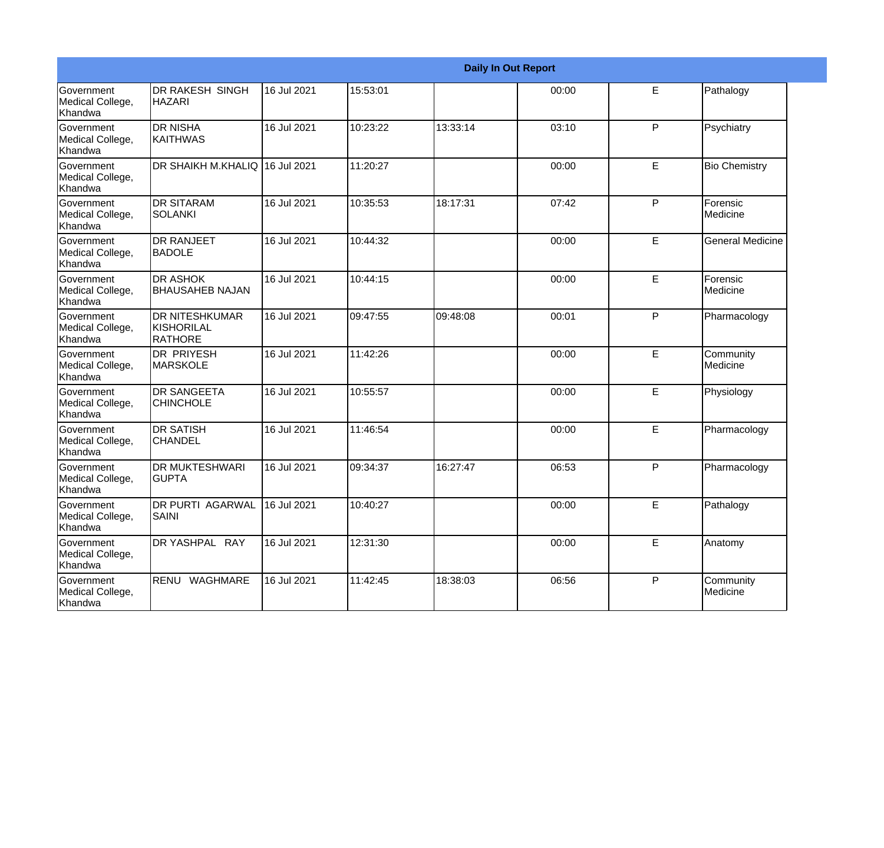|                                                  |                                                 |             |          |          | <b>Daily In Out Report</b> |   |                         |
|--------------------------------------------------|-------------------------------------------------|-------------|----------|----------|----------------------------|---|-------------------------|
| <b>Government</b><br>Medical College,<br>Khandwa | <b>DR RAKESH SINGH</b><br><b>HAZARI</b>         | 16 Jul 2021 | 15:53:01 |          | 00:00                      | E | Pathalogy               |
| Government<br>Medical College,<br>Khandwa        | <b>DR NISHA</b><br><b>KAITHWAS</b>              | 16 Jul 2021 | 10:23:22 | 13:33:14 | 03:10                      | P | Psychiatry              |
| <b>Government</b><br>Medical College,<br>Khandwa | DR SHAIKH M.KHALIQ  16 Jul 2021                 |             | 11:20:27 |          | 00:00                      | E | <b>Bio Chemistry</b>    |
| Government<br>Medical College,<br>Khandwa        | <b>I</b> DR SITARAM<br>SOLANKI                  | 16 Jul 2021 | 10:35:53 | 18:17:31 | 07:42                      | P | Forensic<br>Medicine    |
| Government<br>Medical College,<br>Khandwa        | <b>DR RANJEET</b><br><b>BADOLE</b>              | 16 Jul 2021 | 10:44:32 |          | 00:00                      | E | <b>General Medicine</b> |
| Government<br>Medical College,<br>Khandwa        | <b>DR ASHOK</b><br><b>I</b> BHAUSAHEB NAJAN     | 16 Jul 2021 | 10:44:15 |          | 00:00                      | E | Forensic<br>Medicine    |
| <b>Government</b><br>Medical College,<br>Khandwa | <b>DR NITESHKUMAR</b><br>KISHORILAL<br>IRATHORE | 16 Jul 2021 | 09:47:55 | 09:48:08 | 00:01                      | P | Pharmacology            |
| Government<br>Medical College,<br>Khandwa        | <b>DR PRIYESH</b><br><b>MARSKOLE</b>            | 16 Jul 2021 | 11:42:26 |          | 00:00                      | E | Community<br>Medicine   |
| Government<br>Medical College,<br>Khandwa        | <b>DR SANGEETA</b><br><b>CHINCHOLE</b>          | 16 Jul 2021 | 10:55:57 |          | 00:00                      | E | Physiology              |
| Government<br>Medical College,<br>Khandwa        | <b>DR SATISH</b><br><b>CHANDEL</b>              | 16 Jul 2021 | 11:46:54 |          | 00:00                      | E | Pharmacology            |
| <b>Government</b><br>Medical College,<br>Khandwa | <b>DR MUKTESHWARI</b><br><b>GUPTA</b>           | 16 Jul 2021 | 09:34:37 | 16:27:47 | 06:53                      | P | Pharmacology            |
| Government<br>Medical College,<br>Khandwa        | <b>DR PURTI AGARWAL</b><br>SAINI                | 16 Jul 2021 | 10:40:27 |          | 00:00                      | E | Pathalogy               |
| Government<br>Medical College,<br>Khandwa        | DR YASHPAL RAY                                  | 16 Jul 2021 | 12:31:30 |          | 00:00                      | E | Anatomy                 |
| Government<br>Medical College,<br>Khandwa        | RENU WAGHMARE                                   | 16 Jul 2021 | 11:42:45 | 18:38:03 | 06:56                      | P | Community<br>Medicine   |